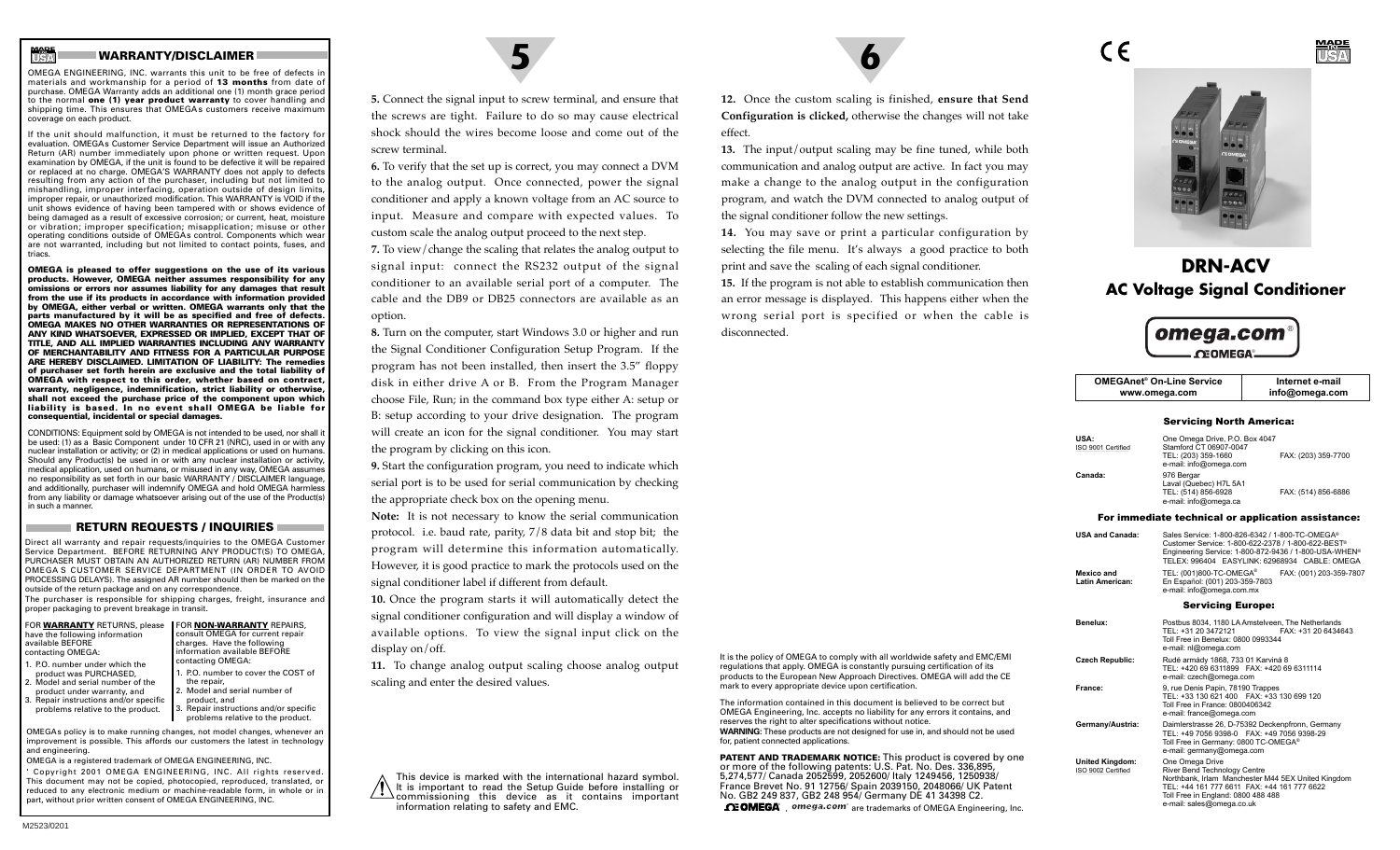# **WARRANTY/DISCLAIMER**

OMEGA ENGINEERING, INC. warrants this unit to be free of defects in materials and workmanship for a period of **13 months** from date of purchase. OMEGA Warranty adds an additional one (1) month grace period to the normal **one (1) year product warranty** to cover handling and shipping time. This ensures that OMEGAs customers receive maximum coverage on each product.

If the unit should malfunction, it must be returned to the factory for evaluation. OMEGAs Customer Service Department will issue an Authorized Return (AR) number immediately upon phone or written request. Upon examination by OMEGA, if the unit is found to be defective it will be repaired or replaced at no charge. OMEGA'S WARRANTY does not apply to defects resulting from any action of the purchaser, including but not limited to mishandling, improper interfacing, operation outside of design limits, improper repair, or unauthorized modification. This WARRANTY is VOID if the unit shows evidence of having been tampered with or shows evidence of being damaged as a result of excessive corrosion; or current, heat, moisture or vibration; improper specification; misapplication; misuse or other operating conditions outside of OMEGAs control. Components which wear are not warranted, including but not limited to contact points, fuses, and triacs.

**OMEGA is pleased to offer suggestions on the use of its various products. However, OMEGA neither assumes responsibility for any omissions or errors nor assumes liability for any damages that result from the use if its products in accordance with information provided by OMEGA, either verbal or written. OMEGA warrants only that the parts manufactured by it will be as specified and free of defects. OMEGA MAKES NO OTHER WARRANTIES OR REPRESENTATIONS OF ANY KIND WHATSOEVER, EXPRESSED OR IMPLIED, EXCEPT THAT OF TITLE, AND ALL IMPLIED WARRANTIES INCLUDING ANY WARRANTY OF MERCHANTABILITY AND FITNESS FOR A PARTICULAR PURPOSE ARE HEREBY DISCLAIMED. LIMITATION OF LIABILITY: The remedies of purchaser set forth herein are exclusive and the total liability of OMEGA with respect to this order, whether based on contract, warranty, negligence, indemnification, strict liability or otherwise, shall not exceed the purchase price of the component upon which liability is based. In no event shall OMEGA be liable for consequential, incidental or special damages.**

CONDITIONS: Equipment sold by OMEGA is not intended to be used, nor shall it be used: (1) as a Basic Component under 10 CFR 21 (NRC), used in or with any nuclear installation or activity; or (2) in medical applications or used on humans. Should any Product(s) be used in or with any nuclear installation or activity, medical application, used on humans, or misused in any way, OMEGA assumes no responsibility as set forth in our basic WARRANTY / DISCLAIMER language, and additionally, purchaser will indemnify OMEGA and hold OMEGA harmless from any liability or damage whatsoever arising out of the use of the Product(s) in such a manner.

### **RETURN REQUESTS / INQUIRIES**

Direct all warranty and repair requests/inquiries to the OMEGA Customer Service Department. BEFORE RETURNING ANY PRODUCT(S) TO OMEGA, PURCHASER MUST OBTAIN AN AUTHORIZED RETURN (AR) NUMBER FROM OMEGA S CUSTOMER SERVICE DEPARTMENT (IN ORDER TO AVOID PROCESSING DELAYS). The assigned AR number should then be marked on the outside of the return package and on any correspondence.

The purchaser is responsible for shipping charges, freight, insurance and proper packaging to prevent breakage in transit.

| FOR WARRANTY RETURNS, please      | <b>FOR NON-WARRANTY REPAIRS,</b>    |
|-----------------------------------|-------------------------------------|
| have the following information    | consult OMEGA for current repair    |
| available BEFORE                  | charges. Have the following         |
| contacting OMEGA:                 | information available BEFORE        |
| 1. P.O. number under which the    | contacting OMEGA:                   |
| product was PURCHASED,            | 1. P.O. number to cover the COST of |
| 2. Model and serial number of the | the repair,                         |
| product under warranty, and       | 2 Model and serial number of        |

product under warranty, and 3. Repair instructions and/or specific problems relative to the product.

2. Model and serial number ofproduct, and Repair instructions and/or specific problems relative to the product.

OMEGAs policy is to make running changes, not model changes, whenever an improvement is possible. This affords our customers the latest in technology and engineering.

OMEGA is a registered trademark of OMEGA ENGINEERING, INC. ' Copyright 2001 OMEGA ENGINEERING, INC. All rights reserved. This document may not be copied, photocopied, reproduced, translated, or reduced to any electronic medium or machine-readable form, in whole or in part, without prior written consent of OMEGA ENGINEERING, INC.



**5.** Connect the signal input to screw terminal, and ensure that the screws are tight. Failure to do so may cause electrical shock should the wires become loose and come out of thescrew terminal.

**6.** To verify that the set up is correct, you may connect a DVM to the analog output. Once connected, power the signal conditioner and apply a known voltage from an AC source to input. Measure and compare with expected values. To custom scale the analog output proceed to the next step.

**7.** To view/change the scaling that relates the analog output to signal input: connect the RS232 output of the signal conditioner to an available serial port of a computer. The cable and the DB9 or DB25 connectors are available as anoption.

**8.** Turn on the computer, start Windows 3.0 or higher and run the Signal Conditioner Configuration Setup Program. If the program has not been installed, then insert the 3.5" floppy disk in either drive A or B. From the Program Manager choose File, Run; in the command box type either A: setup or B: setup according to your drive designation. The program will create an icon for the signal conditioner. You may start the program by clicking on this icon.

**9.** Start the configuration program, you need to indicate which serial port is to be used for serial communication by checking the appropriate check box on the opening menu.

**Note:** It is not necessary to know the serial communication protocol. i.e. baud rate, parity, 7/8 data bit and stop bit; the program will determine this information automatically. However, it is good practice to mark the protocols used on the signal conditioner label if different from default.

**10.** Once the program starts it will automatically detect the signal conditioner configuration and will display a window of available options. To view the signal input click on the display on/off.

**11.** To change analog output scaling choose analog output scaling and enter the desired values.

This device is marked with the international hazard symbol. It is important to read the Setup Guide before installing or commissioning this device as it contains important information relating to safety and EMC.

**12.** Once the custom scaling is finished, **ensure that Send Configuration is clicked,** otherwise the changes will not take effect.

**13.** The input/output scaling may be fine tuned, while both communication and analog output are active. In fact you may make a change to the analog output in the configuration program, and watch the DVM connected to analog output of the signal conditioner follow the new settings.

**14.** You may save or print a particular configuration by selecting the file menu. It's always a good practice to both print and save the scaling of each signal conditioner.

**15.** If the program is not able to establish communication then an error message is displayed. This happens either when the wrong serial port is specified or when the cable is disconnected.

It is the policy of OMEGA to comply with all worldwide safety and EMC/EMI regulations that apply. OMEGA is constantly pursuing certification of its products to the European New Approach Directives. OMEGA will add the CE

The information contained in this document is believed to be correct but OMEGA Engineering, Inc. accepts no liability for any errors it contains, and

**WARNING:** These products are not designed for use in, and should not be used

**PATENT AND TRADEMARK NOTICE:** This product is covered by one or more of the following patents: U.S. Pat. No. Des. 336,895, 5,274,577/ Canada 2052599, 2052600/ Italy 1249456, 1250938/ France Brevet No. 91 12756/ Spain 2039150, 2048066/ UK Patent No. GB2 249 837, GB2 248 954/ Germany DE 41 34398 C2.  $\Omega$  **OMEGA** , omega.com<sup>®</sup> are trademarks of OMEGA Engineering, Inc.

mark to every appropriate device upon certification.

for, patient connected applications.

reserves the right to alter specifications without notice.



C E

**USAMADEIN**

# **DRN-ACVAC Voltage Signal Conditioner**



| <b>OMEGAnet<sup>®</sup> On-Line Service</b> | Internet e-mail |
|---------------------------------------------|-----------------|
| www.omega.com                               | info@omega.com  |

#### Servicing North America:

| USA:<br>ISO 9001 Certified                         | One Omega Drive, P.O. Box 4047<br>Stamford CT 06907-0047<br>TEL: (203) 359-1660<br>e-mail: info@omega.com                                                                                                       | FAX: (203) 359-7700     |  |  |
|----------------------------------------------------|-----------------------------------------------------------------------------------------------------------------------------------------------------------------------------------------------------------------|-------------------------|--|--|
| Canada:                                            | 976 Bergar<br>Laval (Quebec) H7L 5A1<br>TEL: (514) 856-6928<br>e-mail: info@omega.ca                                                                                                                            | FAX: (514) 856-6886     |  |  |
| For immediate technical or application assistance: |                                                                                                                                                                                                                 |                         |  |  |
| USA and Canada:                                    | Sales Service: 1-800-826-6342 / 1-800-TC-OMEGA®<br>Customer Service: 1-800-622-2378 / 1-800-622-BEST®<br>Engineering Service: 1-800-872-9436 / 1-800-USA-WHEN®<br>TELEX: 996404 EASYLINK: 62968934 CABLE: OMEGA |                         |  |  |
| Mexico and<br>Latin American:                      | TEL: (001)800-TC-OMEGA <sup>®</sup><br>En Español: (001) 203-359-7803<br>e-mail: info@omega.com.mx                                                                                                              | FAX: (001) 203-359-7807 |  |  |
| <b>Servicing Europe:</b>                           |                                                                                                                                                                                                                 |                         |  |  |
| Benelux:                                           | Postbus 8034, 1180 LA Amstelveen, The Netherlands<br>TEL: +31 20 3472121<br>Toll Free in Benelux: 0800 0993344<br>e-mail: nl@omega.com                                                                          | FAX: +31 20 6434643     |  |  |
| Czech Republic:                                    | Rudé armády 1868, 733 01 Karviná 8<br>TEL: +420 69 6311899 FAX: +420 69 6311114<br>e-mail: czech@omega.com                                                                                                      |                         |  |  |
| France:                                            | 9, rue Denis Papin, 78190 Trappes<br>TEL: +33 130 621 400 FAX: +33 130 699 120<br>Toll Free in France: 0800406342<br>e-mail: france@omega.com                                                                   |                         |  |  |
| Germany/Austria:                                   | Daimlerstrasse 26, D-75392 Deckenpfronn, Germany<br>TEL: +49 7056 9398-0  FAX: +49 7056 9398-29                                                                                                                 |                         |  |  |

Toll Free in Germany: 0800 TC-OMEGA® e-mail: germany@omega.com **United Kingdom:** One Omega Drive<br>ISO 9002 Certified River Bend Techno River Bend Technology Centre Northbank, Irlam Manchester M44 5EX United Kingdom TEL: +44 161 777 6611 FAX: +44 161 777 6622

 Toll Free in England: 0800 488 488 e-mail: sales@omega.co.uk

**USAMADE IN**